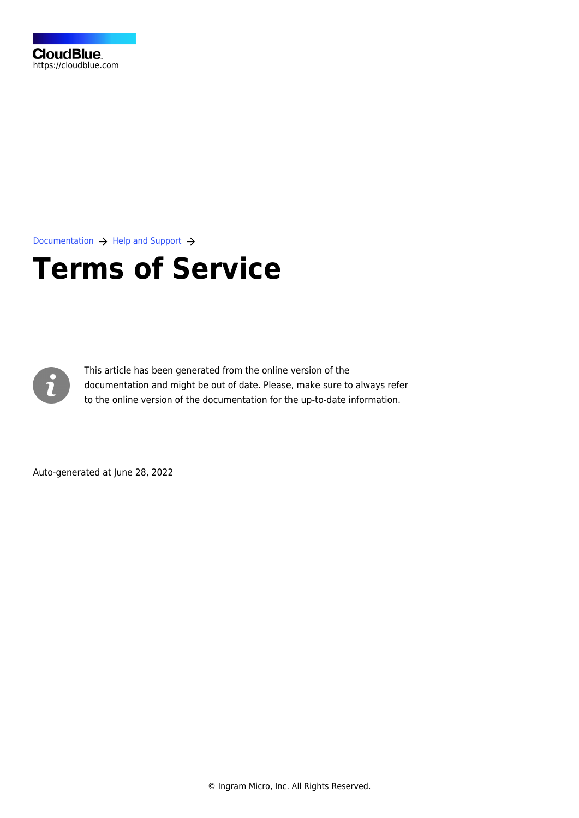

[Documentation](https://connect.cloudblue.com/documentation)  $\rightarrow$  [Help and Support](https://connect.cloudblue.com/community/help/)  $\rightarrow$ 

# **[Terms of Service](https://connect.cloudblue.com/community/help/connect-terms-of-service/)**



This article has been generated from the online version of the documentation and might be out of date. Please, make sure to always refer to the online version of the documentation for the up-to-date information.

Auto-generated at June 28, 2022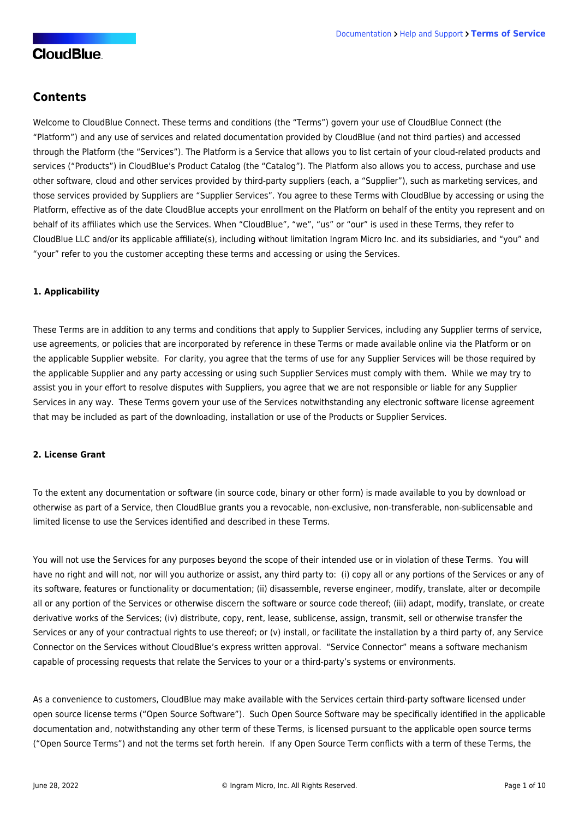## **Contents**

Welcome to CloudBlue Connect. These terms and conditions (the "Terms") govern your use of CloudBlue Connect (the "Platform") and any use of services and related documentation provided by CloudBlue (and not third parties) and accessed through the Platform (the "Services"). The Platform is a Service that allows you to list certain of your cloud-related products and services ("Products") in CloudBlue's Product Catalog (the "Catalog"). The Platform also allows you to access, purchase and use other software, cloud and other services provided by third-party suppliers (each, a "Supplier"), such as marketing services, and those services provided by Suppliers are "Supplier Services". You agree to these Terms with CloudBlue by accessing or using the Platform, effective as of the date CloudBlue accepts your enrollment on the Platform on behalf of the entity you represent and on behalf of its affiliates which use the Services. When "CloudBlue", "we", "us" or "our" is used in these Terms, they refer to CloudBlue LLC and/or its applicable affiliate(s), including without limitation Ingram Micro Inc. and its subsidiaries, and "you" and "your" refer to you the customer accepting these terms and accessing or using the Services.

## **1. Applicability**

These Terms are in addition to any terms and conditions that apply to Supplier Services, including any Supplier terms of service, use agreements, or policies that are incorporated by reference in these Terms or made available online via the Platform or on the applicable Supplier website. For clarity, you agree that the terms of use for any Supplier Services will be those required by the applicable Supplier and any party accessing or using such Supplier Services must comply with them. While we may try to assist you in your effort to resolve disputes with Suppliers, you agree that we are not responsible or liable for any Supplier Services in any way. These Terms govern your use of the Services notwithstanding any electronic software license agreement that may be included as part of the downloading, installation or use of the Products or Supplier Services.

## **2. License Grant**

To the extent any documentation or software (in source code, binary or other form) is made available to you by download or otherwise as part of a Service, then CloudBlue grants you a revocable, non-exclusive, non-transferable, non-sublicensable and limited license to use the Services identified and described in these Terms.

You will not use the Services for any purposes beyond the scope of their intended use or in violation of these Terms. You will have no right and will not, nor will you authorize or assist, any third party to: (i) copy all or any portions of the Services or any of its software, features or functionality or documentation; (ii) disassemble, reverse engineer, modify, translate, alter or decompile all or any portion of the Services or otherwise discern the software or source code thereof; (iii) adapt, modify, translate, or create derivative works of the Services; (iv) distribute, copy, rent, lease, sublicense, assign, transmit, sell or otherwise transfer the Services or any of your contractual rights to use thereof; or (v) install, or facilitate the installation by a third party of, any Service Connector on the Services without CloudBlue's express written approval. "Service Connector" means a software mechanism capable of processing requests that relate the Services to your or a third-party's systems or environments.

As a convenience to customers, CloudBlue may make available with the Services certain third-party software licensed under open source license terms ("Open Source Software"). Such Open Source Software may be specifically identified in the applicable documentation and, notwithstanding any other term of these Terms, is licensed pursuant to the applicable open source terms ("Open Source Terms") and not the terms set forth herein. If any Open Source Term conflicts with a term of these Terms, the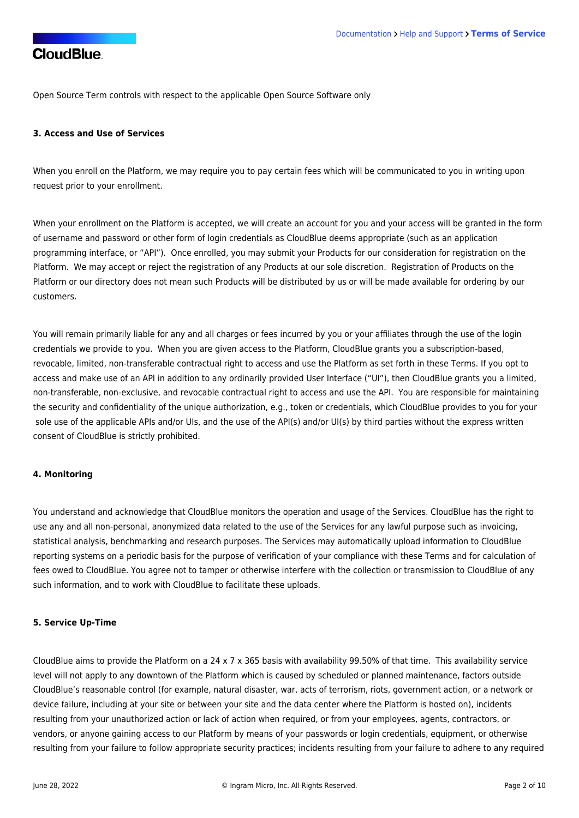Open Source Term controls with respect to the applicable Open Source Software only

#### **3. Access and Use of Services**

When you enroll on the Platform, we may require you to pay certain fees which will be communicated to you in writing upon request prior to your enrollment.

When your enrollment on the Platform is accepted, we will create an account for you and your access will be granted in the form of username and password or other form of login credentials as CloudBlue deems appropriate (such as an application programming interface, or "API"). Once enrolled, you may submit your Products for our consideration for registration on the Platform. We may accept or reject the registration of any Products at our sole discretion. Registration of Products on the Platform or our directory does not mean such Products will be distributed by us or will be made available for ordering by our customers.

You will remain primarily liable for any and all charges or fees incurred by you or your affiliates through the use of the login credentials we provide to you. When you are given access to the Platform, CloudBlue grants you a subscription-based, revocable, limited, non-transferable contractual right to access and use the Platform as set forth in these Terms. If you opt to access and make use of an API in addition to any ordinarily provided User Interface ("UI"), then CloudBlue grants you a limited, non-transferable, non-exclusive, and revocable contractual right to access and use the API. You are responsible for maintaining the security and confidentiality of the unique authorization, e.g., token or credentials, which CloudBlue provides to you for your sole use of the applicable APIs and/or UIs, and the use of the API(s) and/or UI(s) by third parties without the express written consent of CloudBlue is strictly prohibited.

#### **4. Monitoring**

You understand and acknowledge that CloudBlue monitors the operation and usage of the Services. CloudBlue has the right to use any and all non-personal, anonymized data related to the use of the Services for any lawful purpose such as invoicing, statistical analysis, benchmarking and research purposes. The Services may automatically upload information to CloudBlue reporting systems on a periodic basis for the purpose of verification of your compliance with these Terms and for calculation of fees owed to CloudBlue. You agree not to tamper or otherwise interfere with the collection or transmission to CloudBlue of any such information, and to work with CloudBlue to facilitate these uploads.

## **5. Service Up-Time**

CloudBlue aims to provide the Platform on a 24 x 7 x 365 basis with availability 99.50% of that time. This availability service level will not apply to any downtown of the Platform which is caused by scheduled or planned maintenance, factors outside CloudBlue's reasonable control (for example, natural disaster, war, acts of terrorism, riots, government action, or a network or device failure, including at your site or between your site and the data center where the Platform is hosted on), incidents resulting from your unauthorized action or lack of action when required, or from your employees, agents, contractors, or vendors, or anyone gaining access to our Platform by means of your passwords or login credentials, equipment, or otherwise resulting from your failure to follow appropriate security practices; incidents resulting from your failure to adhere to any required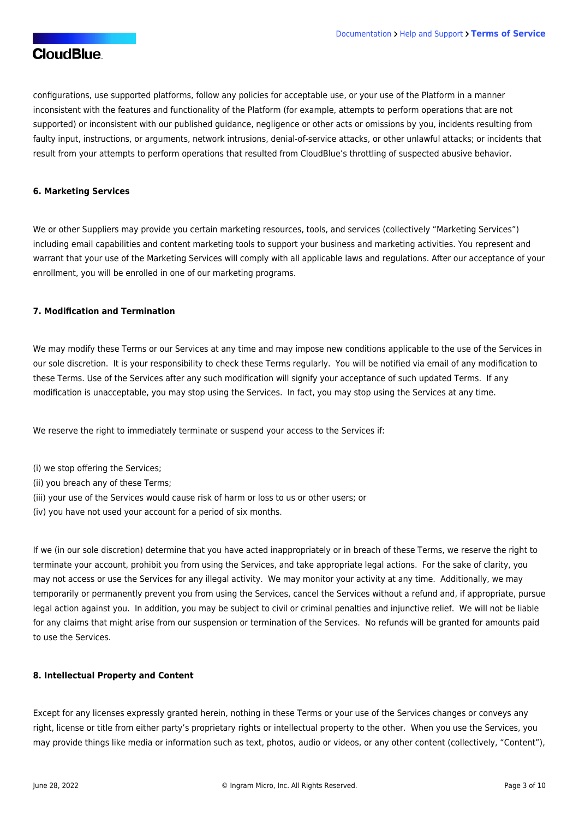configurations, use supported platforms, follow any policies for acceptable use, or your use of the Platform in a manner inconsistent with the features and functionality of the Platform (for example, attempts to perform operations that are not supported) or inconsistent with our published guidance, negligence or other acts or omissions by you, incidents resulting from faulty input, instructions, or arguments, network intrusions, denial-of-service attacks, or other unlawful attacks; or incidents that result from your attempts to perform operations that resulted from CloudBlue's throttling of suspected abusive behavior.

#### **6. Marketing Services**

We or other Suppliers may provide you certain marketing resources, tools, and services (collectively "Marketing Services") including email capabilities and content marketing tools to support your business and marketing activities. You represent and warrant that your use of the Marketing Services will comply with all applicable laws and regulations. After our acceptance of your enrollment, you will be enrolled in one of our marketing programs.

#### **7. Modification and Termination**

We may modify these Terms or our Services at any time and may impose new conditions applicable to the use of the Services in our sole discretion. It is your responsibility to check these Terms regularly. You will be notified via email of any modification to these Terms. Use of the Services after any such modification will signify your acceptance of such updated Terms. If any modification is unacceptable, you may stop using the Services. In fact, you may stop using the Services at any time.

We reserve the right to immediately terminate or suspend your access to the Services if:

- (i) we stop offering the Services;
- (ii) you breach any of these Terms;
- (iii) your use of the Services would cause risk of harm or loss to us or other users; or
- (iv) you have not used your account for a period of six months.

If we (in our sole discretion) determine that you have acted inappropriately or in breach of these Terms, we reserve the right to terminate your account, prohibit you from using the Services, and take appropriate legal actions. For the sake of clarity, you may not access or use the Services for any illegal activity. We may monitor your activity at any time. Additionally, we may temporarily or permanently prevent you from using the Services, cancel the Services without a refund and, if appropriate, pursue legal action against you. In addition, you may be subject to civil or criminal penalties and injunctive relief. We will not be liable for any claims that might arise from our suspension or termination of the Services. No refunds will be granted for amounts paid to use the Services.

#### **8. Intellectual Property and Content**

Except for any licenses expressly granted herein, nothing in these Terms or your use of the Services changes or conveys any right, license or title from either party's proprietary rights or intellectual property to the other. When you use the Services, you may provide things like media or information such as text, photos, audio or videos, or any other content (collectively, "Content"),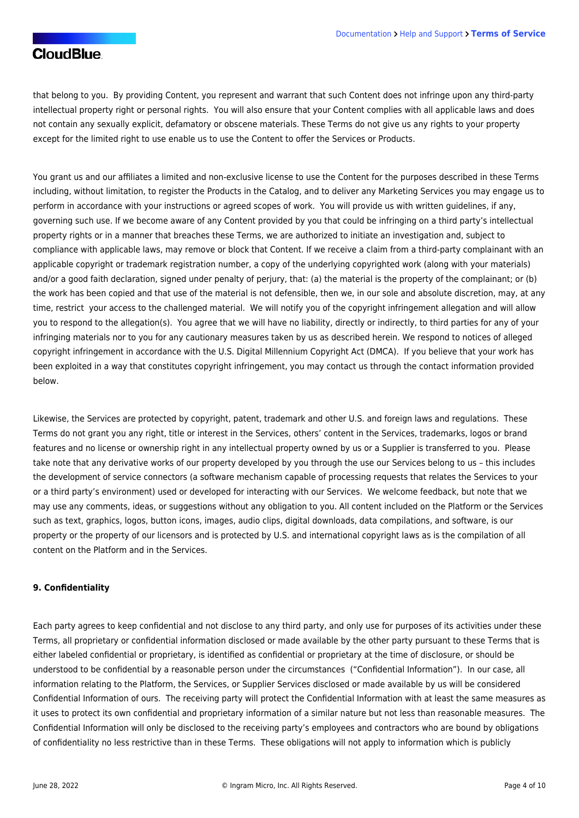that belong to you. By providing Content, you represent and warrant that such Content does not infringe upon any third-party intellectual property right or personal rights. You will also ensure that your Content complies with all applicable laws and does not contain any sexually explicit, defamatory or obscene materials. These Terms do not give us any rights to your property except for the limited right to use enable us to use the Content to offer the Services or Products.

You grant us and our affiliates a limited and non-exclusive license to use the Content for the purposes described in these Terms including, without limitation, to register the Products in the Catalog, and to deliver any Marketing Services you may engage us to perform in accordance with your instructions or agreed scopes of work. You will provide us with written guidelines, if any, governing such use. If we become aware of any Content provided by you that could be infringing on a third party's intellectual property rights or in a manner that breaches these Terms, we are authorized to initiate an investigation and, subject to compliance with applicable laws, may remove or block that Content. If we receive a claim from a third-party complainant with an applicable copyright or trademark registration number, a copy of the underlying copyrighted work (along with your materials) and/or a good faith declaration, signed under penalty of perjury, that: (a) the material is the property of the complainant; or (b) the work has been copied and that use of the material is not defensible, then we, in our sole and absolute discretion, may, at any time, restrict your access to the challenged material. We will notify you of the copyright infringement allegation and will allow you to respond to the allegation(s). You agree that we will have no liability, directly or indirectly, to third parties for any of your infringing materials nor to you for any cautionary measures taken by us as described herein. We respond to notices of alleged copyright infringement in accordance with the U.S. Digital Millennium Copyright Act (DMCA). If you believe that your work has been exploited in a way that constitutes copyright infringement, you may contact us through the contact information provided below.

Likewise, the Services are protected by copyright, patent, trademark and other U.S. and foreign laws and regulations. These Terms do not grant you any right, title or interest in the Services, others' content in the Services, trademarks, logos or brand features and no license or ownership right in any intellectual property owned by us or a Supplier is transferred to you. Please take note that any derivative works of our property developed by you through the use our Services belong to us – this includes the development of service connectors (a software mechanism capable of processing requests that relates the Services to your or a third party's environment) used or developed for interacting with our Services. We welcome feedback, but note that we may use any comments, ideas, or suggestions without any obligation to you. All content included on the Platform or the Services such as text, graphics, logos, button icons, images, audio clips, digital downloads, data compilations, and software, is our property or the property of our licensors and is protected by U.S. and international copyright laws as is the compilation of all content on the Platform and in the Services.

## **9. Confidentiality**

Each party agrees to keep confidential and not disclose to any third party, and only use for purposes of its activities under these Terms, all proprietary or confidential information disclosed or made available by the other party pursuant to these Terms that is either labeled confidential or proprietary, is identified as confidential or proprietary at the time of disclosure, or should be understood to be confidential by a reasonable person under the circumstances ("Confidential Information"). In our case, all information relating to the Platform, the Services, or Supplier Services disclosed or made available by us will be considered Confidential Information of ours. The receiving party will protect the Confidential Information with at least the same measures as it uses to protect its own confidential and proprietary information of a similar nature but not less than reasonable measures. The Confidential Information will only be disclosed to the receiving party's employees and contractors who are bound by obligations of confidentiality no less restrictive than in these Terms. These obligations will not apply to information which is publicly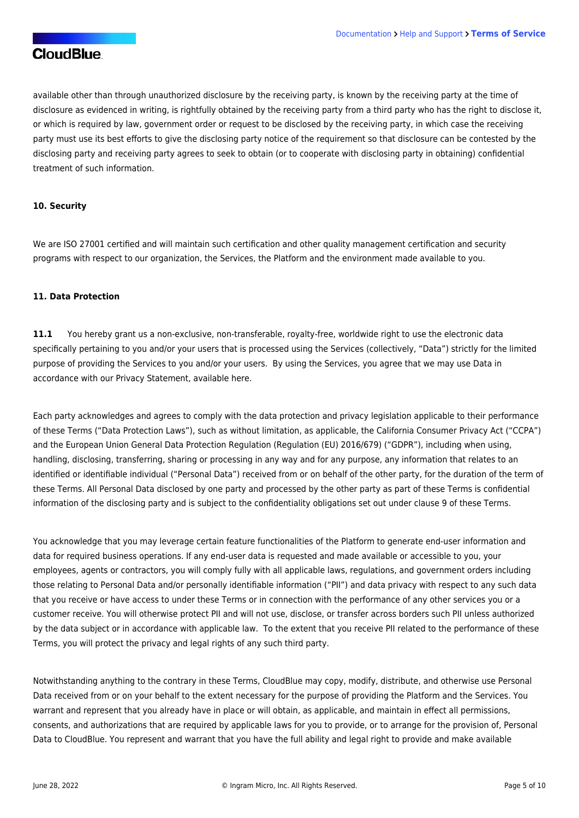available other than through unauthorized disclosure by the receiving party, is known by the receiving party at the time of disclosure as evidenced in writing, is rightfully obtained by the receiving party from a third party who has the right to disclose it, or which is required by law, government order or request to be disclosed by the receiving party, in which case the receiving party must use its best efforts to give the disclosing party notice of the requirement so that disclosure can be contested by the disclosing party and receiving party agrees to seek to obtain (or to cooperate with disclosing party in obtaining) confidential treatment of such information.

#### **10. Security**

We are ISO 27001 certified and will maintain such certification and other quality management certification and security programs with respect to our organization, the Services, the Platform and the environment made available to you.

#### **11. Data Protection**

**11.1** You hereby grant us a non-exclusive, non-transferable, royalty-free, worldwide right to use the electronic data specifically pertaining to you and/or your users that is processed using the Services (collectively, "Data") strictly for the limited purpose of providing the Services to you and/or your users. By using the Services, you agree that we may use Data in accordance with our Privacy Statement, available [here](https://corp.ingrammicro.com/privacy-statement.aspx).

Each party acknowledges and agrees to comply with the data protection and privacy legislation applicable to their performance of these Terms ("Data Protection Laws"), such as without limitation, as applicable, the California Consumer Privacy Act ("CCPA") and the European Union General Data Protection Regulation (Regulation (EU) 2016/679) ("GDPR"), including when using, handling, disclosing, transferring, sharing or processing in any way and for any purpose, any information that relates to an identified or identifiable individual ("Personal Data") received from or on behalf of the other party, for the duration of the term of these Terms. All Personal Data disclosed by one party and processed by the other party as part of these Terms is confidential information of the disclosing party and is subject to the confidentiality obligations set out under clause 9 of these Terms.

You acknowledge that you may leverage certain feature functionalities of the Platform to generate end-user information and data for required business operations. If any end-user data is requested and made available or accessible to you, your employees, agents or contractors, you will comply fully with all applicable laws, regulations, and government orders including those relating to Personal Data and/or personally identifiable information ("PII") and data privacy with respect to any such data that you receive or have access to under these Terms or in connection with the performance of any other services you or a customer receive. You will otherwise protect PII and will not use, disclose, or transfer across borders such PII unless authorized by the data subject or in accordance with applicable law. To the extent that you receive PII related to the performance of these Terms, you will protect the privacy and legal rights of any such third party.

Notwithstanding anything to the contrary in these Terms, CloudBlue may copy, modify, distribute, and otherwise use Personal Data received from or on your behalf to the extent necessary for the purpose of providing the Platform and the Services. You warrant and represent that you already have in place or will obtain, as applicable, and maintain in effect all permissions, consents, and authorizations that are required by applicable laws for you to provide, or to arrange for the provision of, Personal Data to CloudBlue. You represent and warrant that you have the full ability and legal right to provide and make available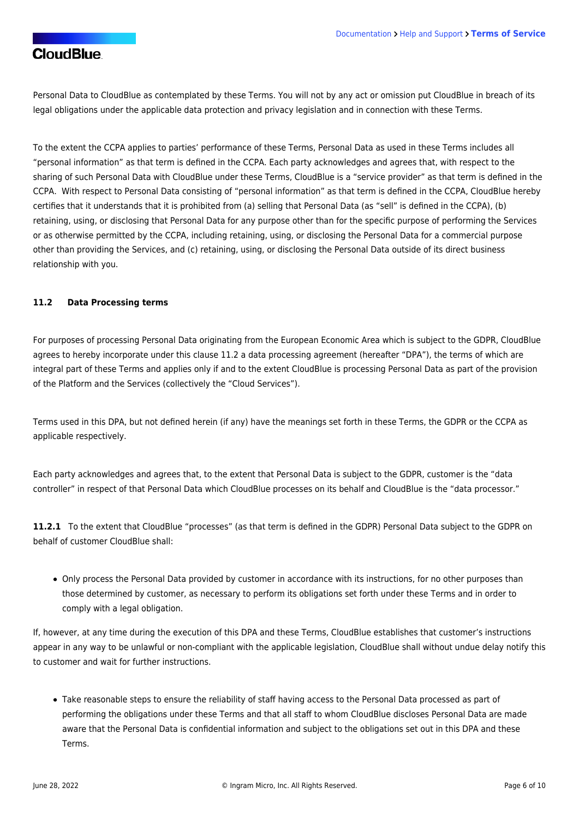Personal Data to CloudBlue as contemplated by these Terms. You will not by any act or omission put CloudBlue in breach of its legal obligations under the applicable data protection and privacy legislation and in connection with these Terms.

To the extent the CCPA applies to parties' performance of these Terms, Personal Data as used in these Terms includes all "personal information" as that term is defined in the CCPA. Each party acknowledges and agrees that, with respect to the sharing of such Personal Data with CloudBlue under these Terms, CloudBlue is a "service provider" as that term is defined in the CCPA. With respect to Personal Data consisting of "personal information" as that term is defined in the CCPA, CloudBlue hereby certifies that it understands that it is prohibited from (a) selling that Personal Data (as "sell" is defined in the CCPA), (b) retaining, using, or disclosing that Personal Data for any purpose other than for the specific purpose of performing the Services or as otherwise permitted by the CCPA, including retaining, using, or disclosing the Personal Data for a commercial purpose other than providing the Services, and (c) retaining, using, or disclosing the Personal Data outside of its direct business relationship with you.

## **11.2 Data Processing terms**

For purposes of processing Personal Data originating from the European Economic Area which is subject to the GDPR, CloudBlue agrees to hereby incorporate under this clause 11.2 a data processing agreement (hereafter "DPA"), the terms of which are integral part of these Terms and applies only if and to the extent CloudBlue is processing Personal Data as part of the provision of the Platform and the Services (collectively the "Cloud Services").

Terms used in this DPA, but not defined herein (if any) have the meanings set forth in these Terms, the GDPR or the CCPA as applicable respectively.

Each party acknowledges and agrees that, to the extent that Personal Data is subject to the GDPR, customer is the "data controller" in respect of that Personal Data which CloudBlue processes on its behalf and CloudBlue is the "data processor."

**11.2.1** To the extent that CloudBlue "processes" (as that term is defined in the GDPR) Personal Data subject to the GDPR on behalf of customer CloudBlue shall:

Only process the Personal Data provided by customer in accordance with its instructions, for no other purposes than those determined by customer, as necessary to perform its obligations set forth under these Terms and in order to comply with a legal obligation.

If, however, at any time during the execution of this DPA and these Terms, CloudBlue establishes that customer's instructions appear in any way to be unlawful or non-compliant with the applicable legislation, CloudBlue shall without undue delay notify this to customer and wait for further instructions.

Take reasonable steps to ensure the reliability of staff having access to the Personal Data processed as part of performing the obligations under these Terms and that all staff to whom CloudBlue discloses Personal Data are made aware that the Personal Data is confidential information and subject to the obligations set out in this DPA and these Terms.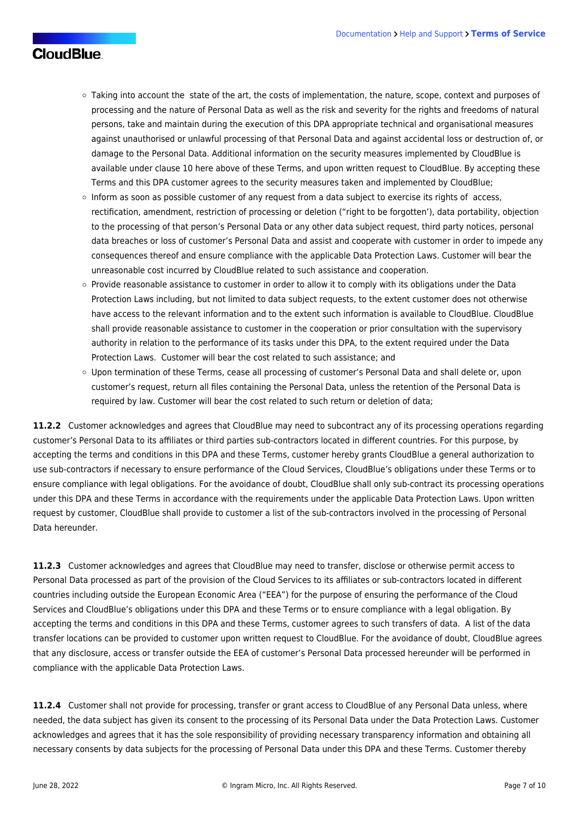- Taking into account the state of the art, the costs of implementation, the nature, scope, context and purposes of processing and the nature of Personal Data as well as the risk and severity for the rights and freedoms of natural persons, take and maintain during the execution of this DPA appropriate technical and organisational measures against unauthorised or unlawful processing of that Personal Data and against accidental loss or destruction of, or damage to the Personal Data. Additional information on the security measures implemented by CloudBlue is available under clause 10 here above of these Terms, and upon written request to CloudBlue. By accepting these Terms and this DPA customer agrees to the security measures taken and implemented by CloudBlue;
- o Inform as soon as possible customer of any request from a data subject to exercise its rights of access, rectification, amendment, restriction of processing or deletion ("right to be forgotten'), data portability, objection to the processing of that person's Personal Data or any other data subject request, third party notices, personal data breaches or loss of customer's Personal Data and assist and cooperate with customer in order to impede any consequences thereof and ensure compliance with the applicable Data Protection Laws. Customer will bear the unreasonable cost incurred by CloudBlue related to such assistance and cooperation.
- Provide reasonable assistance to customer in order to allow it to comply with its obligations under the Data Protection Laws including, but not limited to data subject requests, to the extent customer does not otherwise have access to the relevant information and to the extent such information is available to CloudBlue. CloudBlue shall provide reasonable assistance to customer in the cooperation or prior consultation with the supervisory authority in relation to the performance of its tasks under this DPA, to the extent required under the Data Protection Laws. Customer will bear the cost related to such assistance; and
- Upon termination of these Terms, cease all processing of customer's Personal Data and shall delete or, upon customer's request, return all files containing the Personal Data, unless the retention of the Personal Data is required by law. Customer will bear the cost related to such return or deletion of data;

**11.2.2** Customer acknowledges and agrees that CloudBlue may need to subcontract any of its processing operations regarding customer's Personal Data to its affiliates or third parties sub-contractors located in different countries. For this purpose, by accepting the terms and conditions in this DPA and these Terms, customer hereby grants CloudBlue a general authorization to use sub-contractors if necessary to ensure performance of the Cloud Services, CloudBlue's obligations under these Terms or to ensure compliance with legal obligations. For the avoidance of doubt, CloudBlue shall only sub-contract its processing operations under this DPA and these Terms in accordance with the requirements under the applicable Data Protection Laws. Upon written request by customer, CloudBlue shall provide to customer a list of the sub-contractors involved in the processing of Personal Data hereunder.

**11.2.3** Customer acknowledges and agrees that CloudBlue may need to transfer, disclose or otherwise permit access to Personal Data processed as part of the provision of the Cloud Services to its affiliates or sub-contractors located in different countries including outside the European Economic Area ("EEA") for the purpose of ensuring the performance of the Cloud Services and CloudBlue's obligations under this DPA and these Terms or to ensure compliance with a legal obligation. By accepting the terms and conditions in this DPA and these Terms, customer agrees to such transfers of data. A list of the data transfer locations can be provided to customer upon written request to CloudBlue. For the avoidance of doubt, CloudBlue agrees that any disclosure, access or transfer outside the EEA of customer's Personal Data processed hereunder will be performed in compliance with the applicable Data Protection Laws.

**11.2.4** Customer shall not provide for processing, transfer or grant access to CloudBlue of any Personal Data unless, where needed, the data subject has given its consent to the processing of its Personal Data under the Data Protection Laws. Customer acknowledges and agrees that it has the sole responsibility of providing necessary transparency information and obtaining all necessary consents by data subjects for the processing of Personal Data under this DPA and these Terms. Customer thereby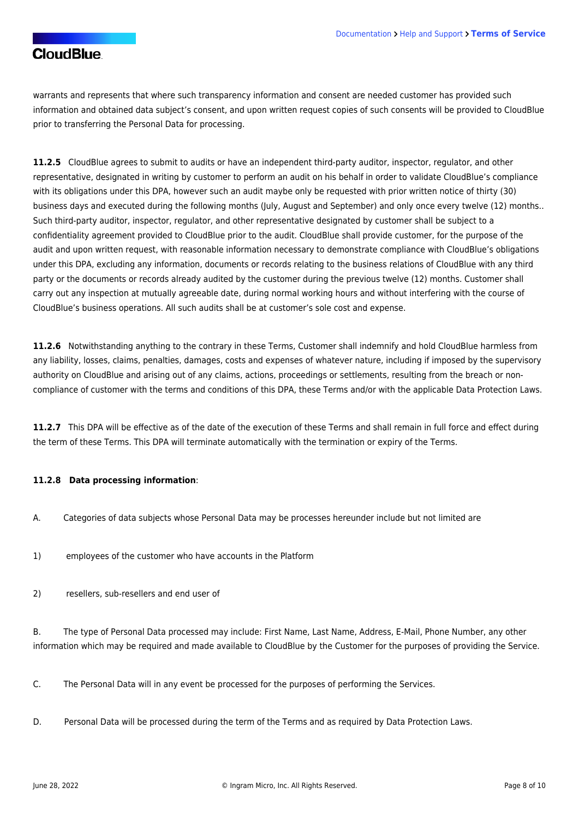warrants and represents that where such transparency information and consent are needed customer has provided such information and obtained data subject's consent, and upon written request copies of such consents will be provided to CloudBlue prior to transferring the Personal Data for processing.

**11.2.5** CloudBlue agrees to submit to audits or have an independent third-party auditor, inspector, regulator, and other representative, designated in writing by customer to perform an audit on his behalf in order to validate CloudBlue's compliance with its obligations under this DPA, however such an audit maybe only be requested with prior written notice of thirty (30) business days and executed during the following months (July, August and September) and only once every twelve (12) months.. Such third-party auditor, inspector, regulator, and other representative designated by customer shall be subject to a confidentiality agreement provided to CloudBlue prior to the audit. CloudBlue shall provide customer, for the purpose of the audit and upon written request, with reasonable information necessary to demonstrate compliance with CloudBlue's obligations under this DPA, excluding any information, documents or records relating to the business relations of CloudBlue with any third party or the documents or records already audited by the customer during the previous twelve (12) months. Customer shall carry out any inspection at mutually agreeable date, during normal working hours and without interfering with the course of CloudBlue's business operations. All such audits shall be at customer's sole cost and expense.

**11.2.6** Notwithstanding anything to the contrary in these Terms, Customer shall indemnify and hold CloudBlue harmless from any liability, losses, claims, penalties, damages, costs and expenses of whatever nature, including if imposed by the supervisory authority on CloudBlue and arising out of any claims, actions, proceedings or settlements, resulting from the breach or noncompliance of customer with the terms and conditions of this DPA, these Terms and/or with the applicable Data Protection Laws.

**11.2.7** This DPA will be effective as of the date of the execution of these Terms and shall remain in full force and effect during the term of these Terms. This DPA will terminate automatically with the termination or expiry of the Terms.

## **11.2.8 Data processing information**:

- A. Categories of data subjects whose Personal Data may be processes hereunder include but not limited are
- 1) employees of the customer who have accounts in the Platform
- 2) resellers, sub-resellers and end user of

B. The type of Personal Data processed may include: First Name, Last Name, Address, E-Mail, Phone Number, any other information which may be required and made available to CloudBlue by the Customer for the purposes of providing the Service.

C. The Personal Data will in any event be processed for the purposes of performing the Services.

D. Personal Data will be processed during the term of the Terms and as required by Data Protection Laws.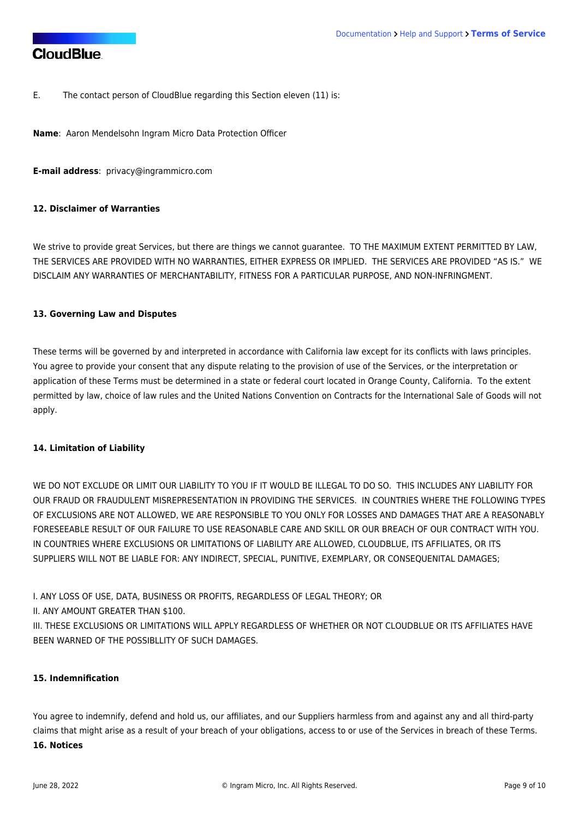E. The contact person of CloudBlue regarding this Section eleven (11) is:

**Name**: Aaron Mendelsohn Ingram Micro Data Protection Officer

**E-mail address**: [privacy@ingrammicro.com](mailto:privacy@ingrammicro.com)

## **12. Disclaimer of Warranties**

We strive to provide great Services, but there are things we cannot guarantee. TO THE MAXIMUM EXTENT PERMITTED BY LAW, THE SERVICES ARE PROVIDED WITH NO WARRANTIES, EITHER EXPRESS OR IMPLIED. THE SERVICES ARE PROVIDED "AS IS." WE DISCLAIM ANY WARRANTIES OF MERCHANTABILITY, FITNESS FOR A PARTICULAR PURPOSE, AND NON-INFRINGMENT.

#### **13. Governing Law and Disputes**

These terms will be governed by and interpreted in accordance with California law except for its conflicts with laws principles. You agree to provide your consent that any dispute relating to the provision of use of the Services, or the interpretation or application of these Terms must be determined in a state or federal court located in Orange County, California. To the extent permitted by law, choice of law rules and the United Nations Convention on Contracts for the International Sale of Goods will not apply.

#### **14. Limitation of Liability**

WE DO NOT EXCLUDE OR LIMIT OUR LIABILITY TO YOU IF IT WOULD BE ILLEGAL TO DO SO. THIS INCLUDES ANY LIABILITY FOR OUR FRAUD OR FRAUDULENT MISREPRESENTATION IN PROVIDING THE SERVICES. IN COUNTRIES WHERE THE FOLLOWING TYPES OF EXCLUSIONS ARE NOT ALLOWED, WE ARE RESPONSIBLE TO YOU ONLY FOR LOSSES AND DAMAGES THAT ARE A REASONABLY FORESEEABLE RESULT OF OUR FAILURE TO USE REASONABLE CARE AND SKILL OR OUR BREACH OF OUR CONTRACT WITH YOU. IN COUNTRIES WHERE EXCLUSIONS OR LIMITATIONS OF LIABILITY ARE ALLOWED, CLOUDBLUE, ITS AFFILIATES, OR ITS SUPPLIERS WILL NOT BE LIABLE FOR: ANY INDIRECT, SPECIAL, PUNITIVE, EXEMPLARY, OR CONSEQUENITAL DAMAGES;

I. ANY LOSS OF USE, DATA, BUSINESS OR PROFITS, REGARDLESS OF LEGAL THEORY; OR

II. ANY AMOUNT GREATER THAN \$100.

III. THESE EXCLUSIONS OR LIMITATIONS WILL APPLY REGARDLESS OF WHETHER OR NOT CLOUDBLUE OR ITS AFFILIATES HAVE BEEN WARNED OF THE POSSIBLLITY OF SUCH DAMAGES.

### **15. Indemnification**

You agree to indemnify, defend and hold us, our affiliates, and our Suppliers harmless from and against any and all third-party claims that might arise as a result of your breach of your obligations, access to or use of the Services in breach of these Terms. **16. Notices**